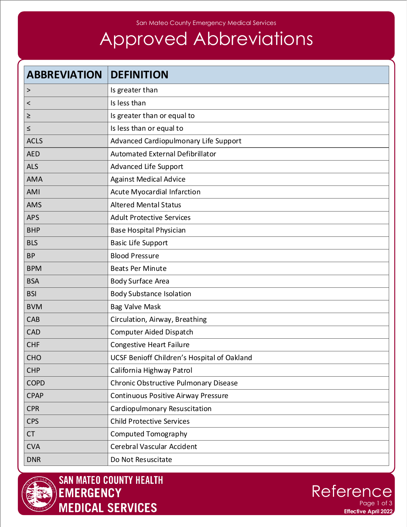#### San Mateo County Emergency Medical Services

# Approved Abbreviations

| <b>ABBREVIATION</b>      | <b>DEFINITION</b>                           |
|--------------------------|---------------------------------------------|
| $\, >$                   | Is greater than                             |
| $\overline{\phantom{0}}$ | Is less than                                |
| ≥                        | Is greater than or equal to                 |
| $\leq$                   | Is less than or equal to                    |
| <b>ACLS</b>              | Advanced Cardiopulmonary Life Support       |
| <b>AED</b>               | Automated External Defibrillator            |
| <b>ALS</b>               | Advanced Life Support                       |
| <b>AMA</b>               | <b>Against Medical Advice</b>               |
| AMI                      | Acute Myocardial Infarction                 |
| <b>AMS</b>               | <b>Altered Mental Status</b>                |
| <b>APS</b>               | <b>Adult Protective Services</b>            |
| <b>BHP</b>               | <b>Base Hospital Physician</b>              |
| <b>BLS</b>               | <b>Basic Life Support</b>                   |
| <b>BP</b>                | <b>Blood Pressure</b>                       |
| <b>BPM</b>               | <b>Beats Per Minute</b>                     |
| <b>BSA</b>               | <b>Body Surface Area</b>                    |
| <b>BSI</b>               | <b>Body Substance Isolation</b>             |
| <b>BVM</b>               | <b>Bag Valve Mask</b>                       |
| CAB                      | Circulation, Airway, Breathing              |
| <b>CAD</b>               | Computer Aided Dispatch                     |
| <b>CHF</b>               | <b>Congestive Heart Failure</b>             |
| CHO                      | UCSF Benioff Children's Hospital of Oakland |
| <b>CHP</b>               | California Highway Patrol                   |
| <b>COPD</b>              | Chronic Obstructive Pulmonary Disease       |
| <b>CPAP</b>              | Continuous Positive Airway Pressure         |
| <b>CPR</b>               | Cardiopulmonary Resuscitation               |
| <b>CPS</b>               | <b>Child Protective Services</b>            |
| <b>CT</b>                | <b>Computed Tomography</b>                  |
| <b>CVA</b>               | Cerebral Vascular Accident                  |
| <b>DNR</b>               | Do Not Resuscitate                          |



**SAN MATEO COUNTY HEALTH EMERGENCY MEDICAL SERVICES** 

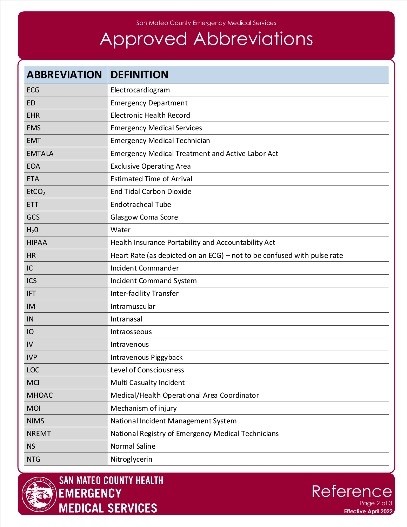#### San Mateo County Emergency Medical Services

# Approved Abbreviations

| <b>ABBREVIATION</b> | <b>DEFINITION</b>                                                       |
|---------------------|-------------------------------------------------------------------------|
| <b>ECG</b>          | Electrocardiogram                                                       |
| <b>ED</b>           | <b>Emergency Department</b>                                             |
| <b>EHR</b>          | <b>Electronic Health Record</b>                                         |
| <b>EMS</b>          | <b>Emergency Medical Services</b>                                       |
| <b>EMT</b>          | <b>Emergency Medical Technician</b>                                     |
| <b>EMTALA</b>       | <b>Emergency Medical Treatment and Active Labor Act</b>                 |
| <b>EOA</b>          | <b>Exclusive Operating Area</b>                                         |
| <b>ETA</b>          | <b>Estimated Time of Arrival</b>                                        |
| EtCO <sub>2</sub>   | <b>End Tidal Carbon Dioxide</b>                                         |
| <b>ETT</b>          | <b>Endotracheal Tube</b>                                                |
| GCS                 | Glasgow Coma Score                                                      |
| $H_2$ <sup>O</sup>  | Water                                                                   |
| <b>HIPAA</b>        | Health Insurance Portability and Accountability Act                     |
| <b>HR</b>           | Heart Rate (as depicted on an ECG) - not to be confused with pulse rate |
| IC                  | Incident Commander                                                      |
| <b>ICS</b>          | Incident Command System                                                 |
| <b>IFT</b>          | <b>Inter-facility Transfer</b>                                          |
| IM                  | Intramuscular                                                           |
| IN                  | Intranasal                                                              |
| IO                  | Intraosseous                                                            |
| IV                  | Intravenous                                                             |
| <b>IVP</b>          | Intravenous Piggyback                                                   |
| LOC                 | <b>Level of Consciousness</b>                                           |
| <b>MCI</b>          | <b>Multi Casualty Incident</b>                                          |
| <b>MHOAC</b>        | Medical/Health Operational Area Coordinator                             |
| <b>MOI</b>          | Mechanism of injury                                                     |
| <b>NIMS</b>         | National Incident Management System                                     |
| <b>NREMT</b>        | National Registry of Emergency Medical Technicians                      |
| <b>NS</b>           | <b>Normal Saline</b>                                                    |
| <b>NTG</b>          | Nitroglycerin                                                           |



**SAN MATEO COUNTY HEALTH** EMERGENCY **MEDICAL SERVICES**